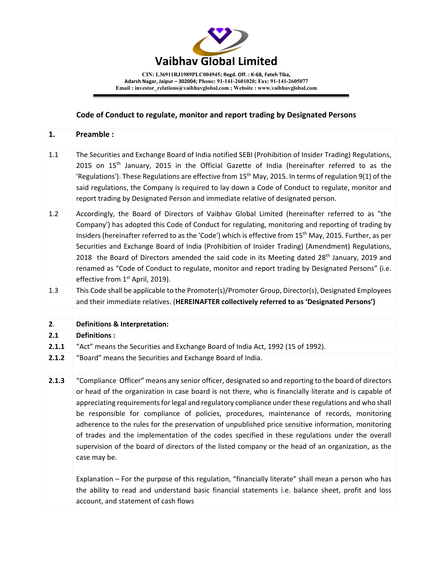

**CIN: L36911RJ1989PLC004945; Regd. Off. : K‐6B, Fateh Tiba, Adarsh Nagar, Jaipur – 302004; Phone: 91-141-2601020; Fax: 91-141-2605077 Email : investor\_relations@vaibhavglobal.com ; Website : www.vaibhavglobal.com** 

# **Code of Conduct to regulate, monitor and report trading by Designated Persons**

| 1.    | <b>Preamble:</b>                                                                                                                                                                                                                                                                                                                                                                                                                                                                                                                                                                                                                                                                                                                                |
|-------|-------------------------------------------------------------------------------------------------------------------------------------------------------------------------------------------------------------------------------------------------------------------------------------------------------------------------------------------------------------------------------------------------------------------------------------------------------------------------------------------------------------------------------------------------------------------------------------------------------------------------------------------------------------------------------------------------------------------------------------------------|
| 1.1   | The Securities and Exchange Board of India notified SEBI (Prohibition of Insider Trading) Regulations,<br>2015 on 15 <sup>th</sup> January, 2015 in the Official Gazette of India (hereinafter referred to as the<br>'Regulations'). These Regulations are effective from 15 <sup>th</sup> May, 2015. In terms of regulation 9(1) of the<br>said regulations, the Company is required to lay down a Code of Conduct to regulate, monitor and<br>report trading by Designated Person and immediate relative of designated person.                                                                                                                                                                                                                |
| 1.2   | Accordingly, the Board of Directors of Vaibhav Global Limited (hereinafter referred to as "the<br>Company') has adopted this Code of Conduct for regulating, monitoring and reporting of trading by<br>Insiders (hereinafter referred to as the 'Code') which is effective from 15 <sup>th</sup> May, 2015. Further, as per<br>Securities and Exchange Board of India (Prohibition of Insider Trading) (Amendment) Regulations,<br>2018 the Board of Directors amended the said code in its Meeting dated 28 <sup>th</sup> January, 2019 and<br>renamed as "Code of Conduct to regulate, monitor and report trading by Designated Persons" (i.e.<br>effective from 1 <sup>st</sup> April, 2019).                                                |
| 1.3   | This Code shall be applicable to the Promoter(s)/Promoter Group, Director(s), Designated Employees<br>and their immediate relatives. (HEREINAFTER collectively referred to as 'Designated Persons')                                                                                                                                                                                                                                                                                                                                                                                                                                                                                                                                             |
|       |                                                                                                                                                                                                                                                                                                                                                                                                                                                                                                                                                                                                                                                                                                                                                 |
| 2.    | <b>Definitions &amp; Interpretation:</b>                                                                                                                                                                                                                                                                                                                                                                                                                                                                                                                                                                                                                                                                                                        |
| 2.1   | <b>Definitions:</b>                                                                                                                                                                                                                                                                                                                                                                                                                                                                                                                                                                                                                                                                                                                             |
| 2.1.1 | "Act" means the Securities and Exchange Board of India Act, 1992 (15 of 1992).                                                                                                                                                                                                                                                                                                                                                                                                                                                                                                                                                                                                                                                                  |
| 2.1.2 | "Board" means the Securities and Exchange Board of India.                                                                                                                                                                                                                                                                                                                                                                                                                                                                                                                                                                                                                                                                                       |
| 2.1.3 | "Compliance Officer" means any senior officer, designated so and reporting to the board of directors<br>or head of the organization in case board is not there, who is financially literate and is capable of<br>appreciating requirements for legal and regulatory compliance under these regulations and who shall<br>be responsible for compliance of policies, procedures, maintenance of records, monitoring<br>adherence to the rules for the preservation of unpublished price sensitive information, monitoring<br>of trades and the implementation of the codes specified in these regulations under the overall<br>supervision of the board of directors of the listed company or the head of an organization, as the<br>case may be. |

Explanation – For the purpose of this regulation, "financially literate" shall mean a person who has the ability to read and understand basic financial statements i.e. balance sheet, profit and loss account, and statement of cash flows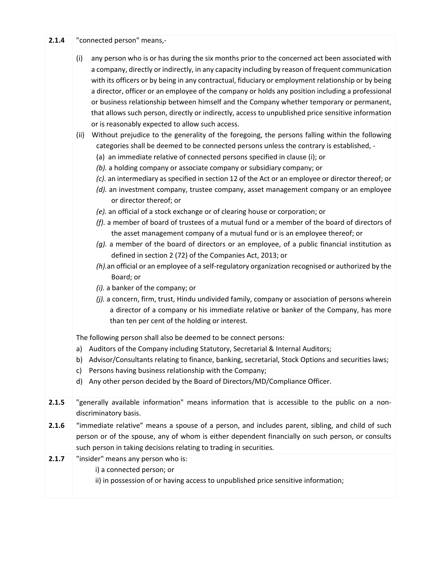## **2.1.4** "connected person" means,‐

- (i) any person who is or has during the six months prior to the concerned act been associated with a company, directly or indirectly, in any capacity including by reason of frequent communication with its officers or by being in any contractual, fiduciary or employment relationship or by being a director, officer or an employee of the company or holds any position including a professional or business relationship between himself and the Company whether temporary or permanent, that allows such person, directly or indirectly, access to unpublished price sensitive information or is reasonably expected to allow such access.
- (ii) Without prejudice to the generality of the foregoing, the persons falling within the following categories shall be deemed to be connected persons unless the contrary is established, ‐
	- (a) an immediate relative of connected persons specified in clause (i); or
	- *(b).* a holding company or associate company or subsidiary company; or
	- *(c).* an intermediary as specified in section 12 of the Act or an employee or director thereof; or
	- *(d).* an investment company, trustee company, asset management company or an employee or director thereof; or
	- *(e).* an official of a stock exchange or of clearing house or corporation; or
	- *(f).* a member of board of trustees of a mutual fund or a member of the board of directors of the asset management company of a mutual fund or is an employee thereof; or
	- *(g).* a member of the board of directors or an employee, of a public financial institution as defined in section 2 (72) of the Companies Act, 2013; or
	- *(h).*an official or an employee of a self‐regulatory organization recognised or authorized by the Board; or
	- *(i).* a banker of the company; or
	- *(j).* a concern, firm, trust, Hindu undivided family, company or association of persons wherein a director of a company or his immediate relative or banker of the Company, has more than ten per cent of the holding or interest.

The following person shall also be deemed to be connect persons:

- a) Auditors of the Company including Statutory, Secretarial & Internal Auditors;
- b) Advisor/Consultants relating to finance, banking, secretarial, Stock Options and securities laws;
- c) Persons having business relationship with the Company;
- d) Any other person decided by the Board of Directors/MD/Compliance Officer.
- **2.1.5** "generally available information" means information that is accessible to the public on a nondiscriminatory basis.
- **2.1.6** "immediate relative" means a spouse of a person, and includes parent, sibling, and child of such person or of the spouse, any of whom is either dependent financially on such person, or consults such person in taking decisions relating to trading in securities.
- **2.1.7** "insider" means any person who is:
	- i) a connected person; or
	- ii) in possession of or having access to unpublished price sensitive information;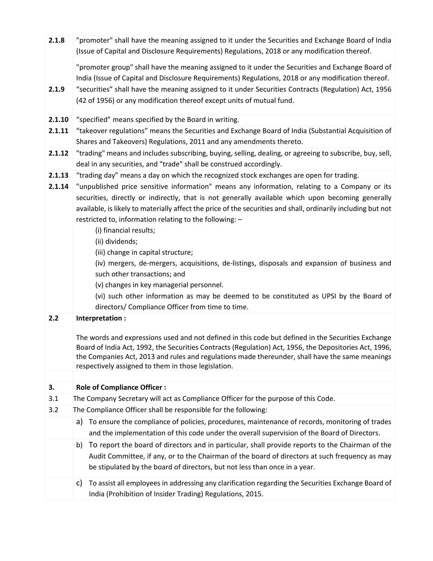**2.1.8** "promoter" shall have the meaning assigned to it under the Securities and Exchange Board of India (Issue of Capital and Disclosure Requirements) Regulations, 2018 or any modification thereof.

"promoter group" shall have the meaning assigned to it under the Securities and Exchange Board of India (Issue of Capital and Disclosure Requirements) Regulations, 2018 or any modification thereof.

- **2.1.9** "securities" shall have the meaning assigned to it under Securities Contracts (Regulation) Act, 1956 (42 of 1956) or any modification thereof except units of mutual fund.
- **2.1.10** "specified" means specified by the Board in writing.
- **2.1.11** "takeover regulations" means the Securities and Exchange Board of India (Substantial Acquisition of Shares and Takeovers) Regulations, 2011 and any amendments thereto.
- **2.1.12** "trading" means and includes subscribing, buying, selling, dealing, or agreeing to subscribe, buy, sell, deal in any securities, and "trade" shall be construed accordingly.
- **2.1.13** "trading day" means a day on which the recognized stock exchanges are open for trading.

**2.1.14** "unpublished price sensitive information" means any information, relating to a Company or its securities, directly or indirectly, that is not generally available which upon becoming generally available, is likely to materially affect the price of the securities and shall, ordinarily including but not restricted to, information relating to the following: –

- (i) financial results;
- (ii) dividends;
- (iii) change in capital structure;

(iv) mergers, de‐mergers, acquisitions, de‐listings, disposals and expansion of business and such other transactions; and

- (v) changes in key managerial personnel.
- (vi) such other information as may be deemed to be constituted as UPSI by the Board of directors/ Compliance Officer from time to time.

#### **2.2 Interpretation :**

The words and expressions used and not defined in this code but defined in the Securities Exchange Board of India Act, 1992, the Securities Contracts (Regulation) Act, 1956, the Depositories Act, 1996, the Companies Act, 2013 and rules and regulations made thereunder, shall have the same meanings respectively assigned to them in those legislation.

| 3.  | <b>Role of Compliance Officer:</b>                                                                                                                                                                                                                                                     |
|-----|----------------------------------------------------------------------------------------------------------------------------------------------------------------------------------------------------------------------------------------------------------------------------------------|
| 3.1 | The Company Secretary will act as Compliance Officer for the purpose of this Code.                                                                                                                                                                                                     |
| 3.2 | The Compliance Officer shall be responsible for the following:                                                                                                                                                                                                                         |
|     | a) To ensure the compliance of policies, procedures, maintenance of records, monitoring of trades<br>and the implementation of this code under the overall supervision of the Board of Directors.                                                                                      |
|     | To report the board of directors and in particular, shall provide reports to the Chairman of the<br>b)<br>Audit Committee, if any, or to the Chairman of the board of directors at such frequency as may<br>be stipulated by the board of directors, but not less than once in a year. |
|     | To assist all employees in addressing any clarification regarding the Securities Exchange Board of<br>C)<br>India (Prohibition of Insider Trading) Regulations, 2015.                                                                                                                  |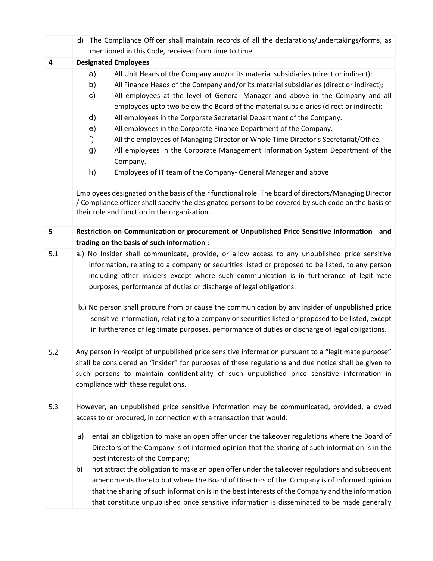|     | d) The Compliance Officer shall maintain records of all the declarations/undertakings/forms, as<br>mentioned in this Code, received from time to time.                                                                                                                                                                                                                                                                                                                                                                                                                                                                                                                                                                                                                                                                                                                                                                                                |
|-----|-------------------------------------------------------------------------------------------------------------------------------------------------------------------------------------------------------------------------------------------------------------------------------------------------------------------------------------------------------------------------------------------------------------------------------------------------------------------------------------------------------------------------------------------------------------------------------------------------------------------------------------------------------------------------------------------------------------------------------------------------------------------------------------------------------------------------------------------------------------------------------------------------------------------------------------------------------|
| 4   |                                                                                                                                                                                                                                                                                                                                                                                                                                                                                                                                                                                                                                                                                                                                                                                                                                                                                                                                                       |
|     | <b>Designated Employees</b><br>All Unit Heads of the Company and/or its material subsidiaries (direct or indirect);<br>a)<br>b)<br>All Finance Heads of the Company and/or its material subsidiaries (direct or indirect);<br>All employees at the level of General Manager and above in the Company and all<br>c)<br>employees upto two below the Board of the material subsidiaries (direct or indirect);<br>d)<br>All employees in the Corporate Secretarial Department of the Company.<br>e)<br>All employees in the Corporate Finance Department of the Company.<br>f<br>All the employees of Managing Director or Whole Time Director's Secretariat/Office.<br>All employees in the Corporate Management Information System Department of the<br>g)<br>Company.<br>h)<br>Employees of IT team of the Company- General Manager and above<br>Employees designated on the basis of their functional role. The board of directors/Managing Director |
|     | / Compliance officer shall specify the designated persons to be covered by such code on the basis of<br>their role and function in the organization.                                                                                                                                                                                                                                                                                                                                                                                                                                                                                                                                                                                                                                                                                                                                                                                                  |
| 5   | Restriction on Communication or procurement of Unpublished Price Sensitive Information and                                                                                                                                                                                                                                                                                                                                                                                                                                                                                                                                                                                                                                                                                                                                                                                                                                                            |
| 5.1 | trading on the basis of such information :                                                                                                                                                                                                                                                                                                                                                                                                                                                                                                                                                                                                                                                                                                                                                                                                                                                                                                            |
|     | a.) No Insider shall communicate, provide, or allow access to any unpublished price sensitive<br>information, relating to a company or securities listed or proposed to be listed, to any person<br>including other insiders except where such communication is in furtherance of legitimate<br>purposes, performance of duties or discharge of legal obligations.<br>b.) No person shall procure from or cause the communication by any insider of unpublished price<br>sensitive information, relating to a company or securities listed or proposed to be listed, except                                                                                                                                                                                                                                                                                                                                                                           |
| 5.2 | in furtherance of legitimate purposes, performance of duties or discharge of legal obligations.<br>Any person in receipt of unpublished price sensitive information pursuant to a "legitimate purpose"<br>shall be considered an "insider" for purposes of these regulations and due notice shall be given to<br>such persons to maintain confidentiality of such unpublished price sensitive information in<br>compliance with these regulations.                                                                                                                                                                                                                                                                                                                                                                                                                                                                                                    |
| 5.3 | However, an unpublished price sensitive information may be communicated, provided, allowed<br>access to or procured, in connection with a transaction that would:                                                                                                                                                                                                                                                                                                                                                                                                                                                                                                                                                                                                                                                                                                                                                                                     |
|     | entail an obligation to make an open offer under the takeover regulations where the Board of<br>a)<br>Directors of the Company is of informed opinion that the sharing of such information is in the<br>best interests of the Company;<br>not attract the obligation to make an open offer under the takeover regulations and subsequent<br>b)<br>amendments thereto but where the Board of Directors of the Company is of informed opinion<br>that the sharing of such information is in the best interests of the Company and the information<br>that constitute unpublished price sensitive information is disseminated to be made generally                                                                                                                                                                                                                                                                                                       |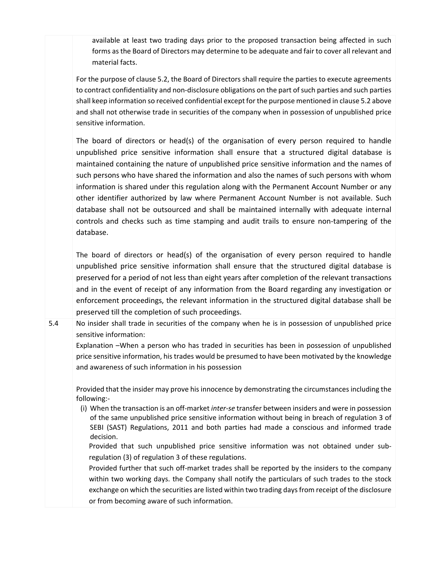available at least two trading days prior to the proposed transaction being affected in such forms as the Board of Directors may determine to be adequate and fair to cover all relevant and material facts.

For the purpose of clause 5.2, the Board of Directors shall require the parties to execute agreements to contract confidentiality and non-disclosure obligations on the part of such parties and such parties shall keep information so received confidential except for the purpose mentioned in clause 5.2 above and shall not otherwise trade in securities of the company when in possession of unpublished price sensitive information.

The board of directors or head(s) of the organisation of every person required to handle unpublished price sensitive information shall ensure that a structured digital database is maintained containing the nature of unpublished price sensitive information and the names of such persons who have shared the information and also the names of such persons with whom information is shared under this regulation along with the Permanent Account Number or any other identifier authorized by law where Permanent Account Number is not available. Such database shall not be outsourced and shall be maintained internally with adequate internal controls and checks such as time stamping and audit trails to ensure non-tampering of the database.

The board of directors or head(s) of the organisation of every person required to handle unpublished price sensitive information shall ensure that the structured digital database is preserved for a period of not less than eight years after completion of the relevant transactions and in the event of receipt of any information from the Board regarding any investigation or enforcement proceedings, the relevant information in the structured digital database shall be preserved till the completion of such proceedings.

5.4 No insider shall trade in securities of the company when he is in possession of unpublished price sensitive information:

Explanation –When a person who has traded in securities has been in possession of unpublished price sensitive information, his trades would be presumed to have been motivated by the knowledge and awareness of such information in his possession

Provided that the insider may prove his innocence by demonstrating the circumstances including the following:‐

(i) When the transaction is an off‐market *inter‐se* transfer between insiders and were in possession of the same unpublished price sensitive information without being in breach of regulation 3 of SEBI (SAST) Regulations, 2011 and both parties had made a conscious and informed trade decision.

Provided that such unpublished price sensitive information was not obtained under sub‐ regulation (3) of regulation 3 of these regulations.

Provided further that such off‐market trades shall be reported by the insiders to the company within two working days. the Company shall notify the particulars of such trades to the stock exchange on which the securities are listed within two trading days from receipt of the disclosure or from becoming aware of such information.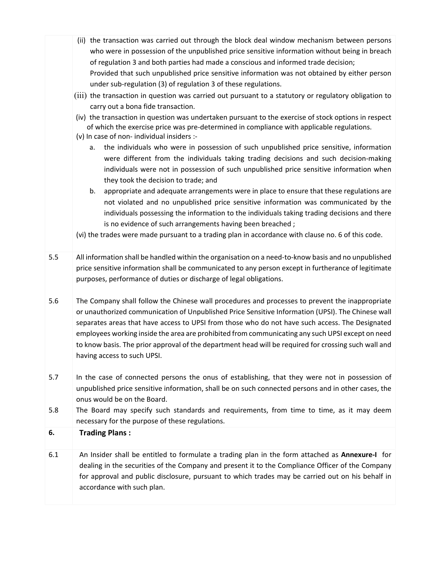- (ii) the transaction was carried out through the block deal window mechanism between persons who were in possession of the unpublished price sensitive information without being in breach of regulation 3 and both parties had made a conscious and informed trade decision; Provided that such unpublished price sensitive information was not obtained by either person under sub‐regulation (3) of regulation 3 of these regulations.
- (iii) the transaction in question was carried out pursuant to a statutory or regulatory obligation to carry out a bona fide transaction.
- (iv) the transaction in question was undertaken pursuant to the exercise of stock options in respect of which the exercise price was pre‐determined in compliance with applicable regulations.
- (v) In case of non‐ individual insiders :‐
	- a. the individuals who were in possession of such unpublished price sensitive, information were different from the individuals taking trading decisions and such decision-making individuals were not in possession of such unpublished price sensitive information when they took the decision to trade; and
	- b. appropriate and adequate arrangements were in place to ensure that these regulations are not violated and no unpublished price sensitive information was communicated by the individuals possessing the information to the individuals taking trading decisions and there is no evidence of such arrangements having been breached ;
- (vi) the trades were made pursuant to a trading plan in accordance with clause no. 6 of this code.
- 5.5 All information shall be handled within the organisation on a need‐to‐know basis and no unpublished price sensitive information shall be communicated to any person except in furtherance of legitimate purposes, performance of duties or discharge of legal obligations.
- 5.6 The Company shall follow the Chinese wall procedures and processes to prevent the inappropriate or unauthorized communication of Unpublished Price Sensitive Information (UPSI). The Chinese wall separates areas that have access to UPSI from those who do not have such access. The Designated employees working inside the area are prohibited from communicating any such UPSI except on need to know basis. The prior approval of the department head will be required for crossing such wall and having access to such UPSI.
- 5.7 In the case of connected persons the onus of establishing, that they were not in possession of unpublished price sensitive information, shall be on such connected persons and in other cases, the onus would be on the Board.
- 5.8 The Board may specify such standards and requirements, from time to time, as it may deem necessary for the purpose of these regulations.
- **6. Trading Plans :**
- 6.1 An Insider shall be entitled to formulate a trading plan in the form attached as **Annexure‐I** for dealing in the securities of the Company and present it to the Compliance Officer of the Company for approval and public disclosure, pursuant to which trades may be carried out on his behalf in accordance with such plan.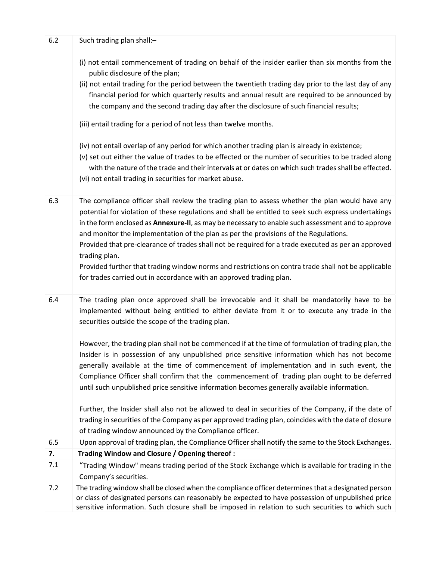| 6.2 | Such trading plan shall:-                                                                                                                                                                                                                                                                                                                                                                                                                                                                                                                                                                                                                                                                                 |
|-----|-----------------------------------------------------------------------------------------------------------------------------------------------------------------------------------------------------------------------------------------------------------------------------------------------------------------------------------------------------------------------------------------------------------------------------------------------------------------------------------------------------------------------------------------------------------------------------------------------------------------------------------------------------------------------------------------------------------|
|     | (i) not entail commencement of trading on behalf of the insider earlier than six months from the<br>public disclosure of the plan;<br>(ii) not entail trading for the period between the twentieth trading day prior to the last day of any<br>financial period for which quarterly results and annual result are required to be announced by<br>the company and the second trading day after the disclosure of such financial results;                                                                                                                                                                                                                                                                   |
|     | (iii) entail trading for a period of not less than twelve months.                                                                                                                                                                                                                                                                                                                                                                                                                                                                                                                                                                                                                                         |
|     | (iv) not entail overlap of any period for which another trading plan is already in existence;<br>(v) set out either the value of trades to be effected or the number of securities to be traded along<br>with the nature of the trade and their intervals at or dates on which such trades shall be effected.<br>(vi) not entail trading in securities for market abuse.                                                                                                                                                                                                                                                                                                                                  |
| 6.3 | The compliance officer shall review the trading plan to assess whether the plan would have any<br>potential for violation of these regulations and shall be entitled to seek such express undertakings<br>in the form enclosed as Annexure-II, as may be necessary to enable such assessment and to approve<br>and monitor the implementation of the plan as per the provisions of the Regulations.<br>Provided that pre-clearance of trades shall not be required for a trade executed as per an approved<br>trading plan.<br>Provided further that trading window norms and restrictions on contra trade shall not be applicable<br>for trades carried out in accordance with an approved trading plan. |
| 6.4 | The trading plan once approved shall be irrevocable and it shall be mandatorily have to be<br>implemented without being entitled to either deviate from it or to execute any trade in the<br>securities outside the scope of the trading plan.                                                                                                                                                                                                                                                                                                                                                                                                                                                            |
|     | However, the trading plan shall not be commenced if at the time of formulation of trading plan, the<br>Insider is in possession of any unpublished price sensitive information which has not become<br>generally available at the time of commencement of implementation and in such event, the<br>Compliance Officer shall confirm that the commencement of trading plan ought to be deferred<br>until such unpublished price sensitive information becomes generally available information.                                                                                                                                                                                                             |
|     | Further, the Insider shall also not be allowed to deal in securities of the Company, if the date of<br>trading in securities of the Company as per approved trading plan, coincides with the date of closure<br>of trading window announced by the Compliance officer.                                                                                                                                                                                                                                                                                                                                                                                                                                    |
| 6.5 | Upon approval of trading plan, the Compliance Officer shall notify the same to the Stock Exchanges.                                                                                                                                                                                                                                                                                                                                                                                                                                                                                                                                                                                                       |
| 7.  | Trading Window and Closure / Opening thereof:                                                                                                                                                                                                                                                                                                                                                                                                                                                                                                                                                                                                                                                             |
| 7.1 | "Trading Window" means trading period of the Stock Exchange which is available for trading in the<br>Company's securities.                                                                                                                                                                                                                                                                                                                                                                                                                                                                                                                                                                                |
| 7.2 | The trading window shall be closed when the compliance officer determines that a designated person<br>or class of designated persons can reasonably be expected to have possession of unpublished price<br>sensitive information. Such closure shall be imposed in relation to such securities to which such                                                                                                                                                                                                                                                                                                                                                                                              |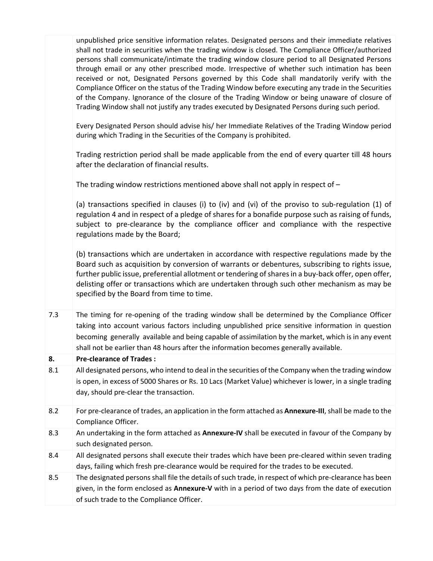unpublished price sensitive information relates. Designated persons and their immediate relatives shall not trade in securities when the trading window is closed. The Compliance Officer/authorized persons shall communicate/intimate the trading window closure period to all Designated Persons through email or any other prescribed mode. Irrespective of whether such intimation has been received or not, Designated Persons governed by this Code shall mandatorily verify with the Compliance Officer on the status of the Trading Window before executing any trade in the Securities of the Company. Ignorance of the closure of the Trading Window or being unaware of closure of Trading Window shall not justify any trades executed by Designated Persons during such period.

Every Designated Person should advise his/ her Immediate Relatives of the Trading Window period during which Trading in the Securities of the Company is prohibited.

Trading restriction period shall be made applicable from the end of every quarter till 48 hours after the declaration of financial results.

The trading window restrictions mentioned above shall not apply in respect of  $-$ 

(a) transactions specified in clauses (i) to (iv) and (vi) of the proviso to sub-regulation (1) of regulation 4 and in respect of a pledge of shares for a bonafide purpose such as raising of funds, subject to pre‐clearance by the compliance officer and compliance with the respective regulations made by the Board;

(b) transactions which are undertaken in accordance with respective regulations made by the Board such as acquisition by conversion of warrants or debentures, subscribing to rights issue, further public issue, preferential allotment or tendering of shares in a buy-back offer, open offer, delisting offer or transactions which are undertaken through such other mechanism as may be specified by the Board from time to time.

7.3 The timing for re-opening of the trading window shall be determined by the Compliance Officer taking into account various factors including unpublished price sensitive information in question becoming generally available and being capable of assimilation by the market, which is in any event shall not be earlier than 48 hours after the information becomes generally available.

#### **8. Pre‐clearance of Trades :**

- 8.1 All designated persons, who intend to deal in the securities of the Company when the trading window is open, in excess of 5000 Shares or Rs. 10 Lacs (Market Value) whichever is lower, in a single trading day, should pre‐clear the transaction.
- 8.2 For pre‐clearance of trades, an application in the form attached as **Annexure‐III**,shall be made to the Compliance Officer.
- 8.3 An undertaking in the form attached as **Annexure-IV** shall be executed in favour of the Company by such designated person.
- 8.4 All designated persons shall execute their trades which have been pre-cleared within seven trading days, failing which fresh pre‐clearance would be required for the trades to be executed.
- 8.5 The designated persons shall file the details of such trade, in respect of which pre-clearance has been given, in the form enclosed as **Annexure‐V** with in a period of two days from the date of execution of such trade to the Compliance Officer.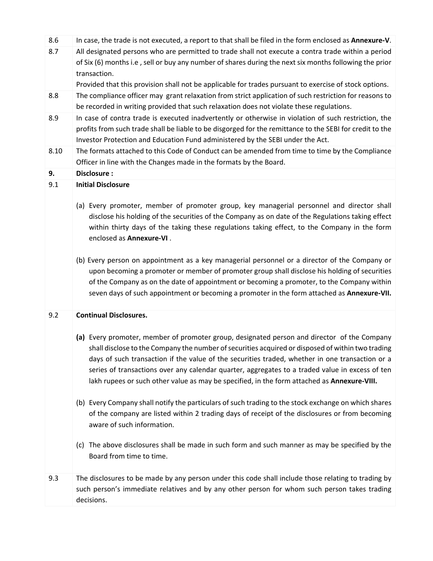- 8.6 In case, the trade is not executed, a report to that shall be filed in the form enclosed as **Annexure‐V**.
- 8.7 All designated persons who are permitted to trade shall not execute a contra trade within a period of Six (6) months i.e , sell or buy any number of shares during the next six months following the prior transaction.

Provided that this provision shall not be applicable for trades pursuant to exercise of stock options.

- 8.8 The compliance officer may grant relaxation from strict application of such restriction for reasons to be recorded in writing provided that such relaxation does not violate these regulations.
- 8.9 In case of contra trade is executed inadvertently or otherwise in violation of such restriction, the profits from such trade shall be liable to be disgorged for the remittance to the SEBI for credit to the Investor Protection and Education Fund administered by the SEBI under the Act.
- 8.10 The formats attached to this Code of Conduct can be amended from time to time by the Compliance Officer in line with the Changes made in the formats by the Board.

**9. Disclosure :**

#### 9.1 **Initial Disclosure**

- (a) Every promoter, member of promoter group, key managerial personnel and director shall disclose his holding of the securities of the Company as on date of the Regulations taking effect within thirty days of the taking these regulations taking effect, to the Company in the form enclosed as **Annexure‐VI** .
- (b) Every person on appointment as a key managerial personnel or a director of the Company or upon becoming a promoter or member of promoter group shall disclose his holding of securities of the Company as on the date of appointment or becoming a promoter, to the Company within seven days of such appointment or becoming a promoter in the form attached as **Annexure‐VII.**

### 9.2 **Continual Disclosures.**

- **(a)** Every promoter, member of promoter group, designated person and director of the Company shall disclose to the Company the number of securities acquired or disposed of within two trading days of such transaction if the value of the securities traded, whether in one transaction or a series of transactions over any calendar quarter, aggregates to a traded value in excess of ten lakh rupees or such other value as may be specified, in the form attached as **Annexure‐VIII.**
- (b) Every Company shall notify the particulars of such trading to the stock exchange on which shares of the company are listed within 2 trading days of receipt of the disclosures or from becoming aware of such information.
- (c) The above disclosures shall be made in such form and such manner as may be specified by the Board from time to time.
- 9.3 The disclosures to be made by any person under this code shall include those relating to trading by such person's immediate relatives and by any other person for whom such person takes trading decisions.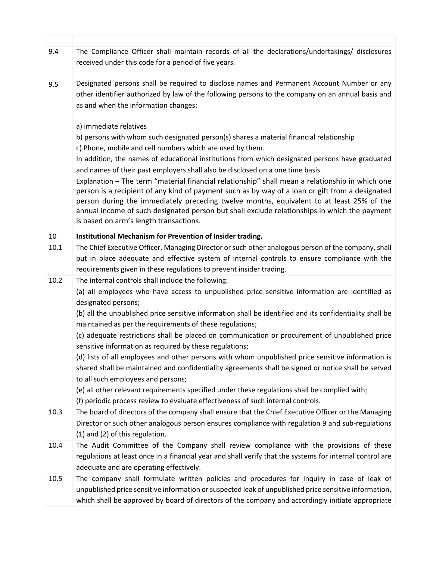- 9.4 The Compliance Officer shall maintain records of all the declarations/undertakings/ disclosures received under this code for a period of five years.
- 9.5 Designated persons shall be required to disclose names and Permanent Account Number or any other identifier authorized by law of the following persons to the company on an annual basis and as and when the information changes:

# a) immediate relatives

b) persons with whom such designated person(s) shares a material financial relationship

c) Phone, mobile and cell numbers which are used by them.

In addition, the names of educational institutions from which designated persons have graduated and names of their past employers shall also be disclosed on a one time basis.

Explanation – The term "material financial relationship" shall mean a relationship in which one person is a recipient of any kind of payment such as by way of a loan or gift from a designated person during the immediately preceding twelve months, equivalent to at least 25% of the annual income of such designated person but shall exclude relationships in which the payment is based on arm's length transactions.

# 10 **Institutional Mechanism for Prevention of Insider trading.**

- 10.1 The Chief Executive Officer, Managing Director or such other analogous person of the company, shall put in place adequate and effective system of internal controls to ensure compliance with the requirements given in these regulations to prevent insider trading.
- 10.2 The internal controls shall include the following:

(a) all employees who have access to unpublished price sensitive information are identified as designated persons;

(b) all the unpublished price sensitive information shall be identified and its confidentiality shall be maintained as per the requirements of these regulations;

(c) adequate restrictions shall be placed on communication or procurement of unpublished price sensitive information as required by these regulations;

(d) lists of all employees and other persons with whom unpublished price sensitive information is shared shall be maintained and confidentiality agreements shall be signed or notice shall be served to all such employees and persons;

(e) all other relevant requirements specified under these regulations shall be complied with; (f) periodic process review to evaluate effectiveness of such internal controls.

- 10.3 The board of directors of the company shall ensure that the Chief Executive Officer or the Managing Director or such other analogous person ensures compliance with regulation 9 and sub‐regulations (1) and (2) of this regulation.
- 10.4 The Audit Committee of the Company shall review compliance with the provisions of these regulations at least once in a financial year and shall verify that the systems for internal control are adequate and are operating effectively.
- 10.5 The company shall formulate written policies and procedures for inquiry in case of leak of unpublished price sensitive information or suspected leak of unpublished price sensitive information, which shall be approved by board of directors of the company and accordingly initiate appropriate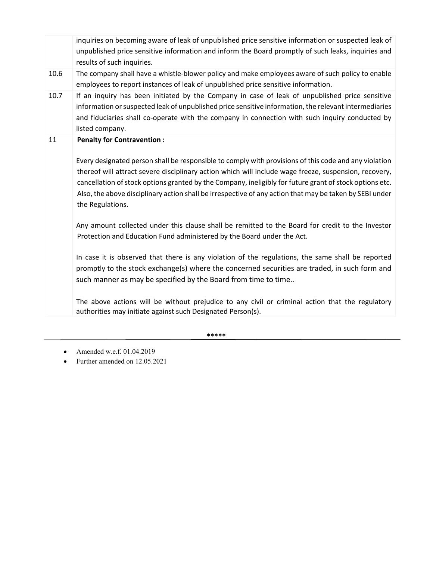inquiries on becoming aware of leak of unpublished price sensitive information or suspected leak of unpublished price sensitive information and inform the Board promptly of such leaks, inquiries and results of such inquiries.

- 10.6 The company shall have a whistle-blower policy and make employees aware of such policy to enable employees to report instances of leak of unpublished price sensitive information.
- 10.7 If an inquiry has been initiated by the Company in case of leak of unpublished price sensitive information or suspected leak of unpublished price sensitive information, the relevant intermediaries and fiduciaries shall co-operate with the company in connection with such inquiry conducted by listed company.
- 11 **Penalty for Contravention :**

Every designated person shall be responsible to comply with provisions of this code and any violation thereof will attract severe disciplinary action which will include wage freeze, suspension, recovery, cancellation of stock options granted by the Company, ineligibly for future grant of stock options etc. Also, the above disciplinary action shall be irrespective of any action that may be taken by SEBI under the Regulations.

Any amount collected under this clause shall be remitted to the Board for credit to the Investor Protection and Education Fund administered by the Board under the Act.

In case it is observed that there is any violation of the regulations, the same shall be reported promptly to the stock exchange(s) where the concerned securities are traded, in such form and such manner as may be specified by the Board from time to time..

The above actions will be without prejudice to any civil or criminal action that the regulatory authorities may initiate against such Designated Person(s).

**\*\*\*\*\***

- Amended w.e.f. 01.04.2019
- Further amended on 12.05.2021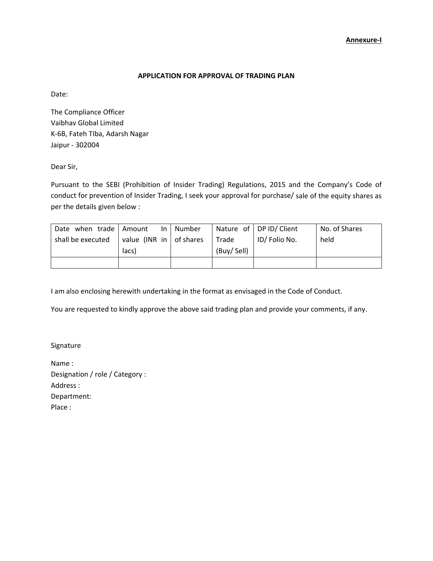#### **Annexure‐I**

#### **APPLICATION FOR APPROVAL OF TRADING PLAN**

Date:

The Compliance Officer Vaibhav Global Limited K‐6B, Fateh TIba, Adarsh Nagar Jaipur ‐ 302004

Dear Sir,

Pursuant to the SEBI (Prohibition of Insider Trading) Regulations, 2015 and the Company's Code of conduct for prevention of Insider Trading, I seek your approval for purchase/ sale of the equity shares as per the details given below :

| Date when trade   Amount |                                 | In   Number |            | Nature of   DP ID/ Client | No. of Shares |
|--------------------------|---------------------------------|-------------|------------|---------------------------|---------------|
| shall be executed        | value (INR in $\vert$ of shares |             | Trade      | ID/Folio No.              | held          |
|                          | lacs)                           |             | (Buy/Sell) |                           |               |
|                          |                                 |             |            |                           |               |

I am also enclosing herewith undertaking in the format as envisaged in the Code of Conduct.

You are requested to kindly approve the above said trading plan and provide your comments, if any.

Signature

Name : Designation / role / Category : Address : Department: Place :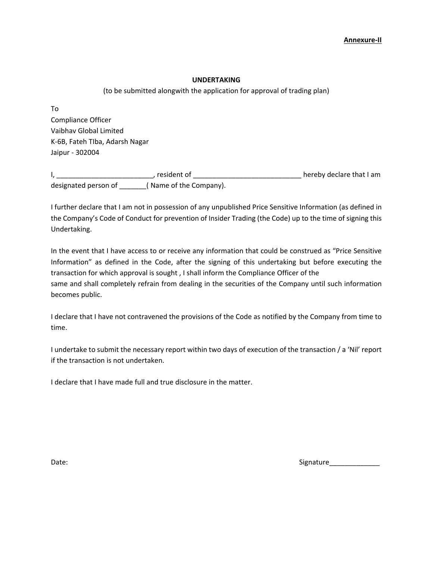#### **UNDERTAKING**

(to be submitted alongwith the application for approval of trading plan)

To Compliance Officer Vaibhav Global Limited K‐6B, Fateh TIba, Adarsh Nagar Jaipur ‐ 302004

I, \_\_\_\_\_\_\_\_\_\_\_\_\_\_\_\_\_\_\_\_\_\_\_\_\_, resident of \_\_\_\_\_\_\_\_\_\_\_\_\_\_\_\_\_\_\_\_\_\_\_\_\_\_\_\_ hereby declare that I am designated person of \_\_\_\_\_\_\_( Name of the Company).

I further declare that I am not in possession of any unpublished Price Sensitive Information (as defined in the Company's Code of Conduct for prevention of Insider Trading (the Code) up to the time of signing this Undertaking.

In the event that I have access to or receive any information that could be construed as "Price Sensitive Information" as defined in the Code, after the signing of this undertaking but before executing the transaction for which approval is sought , I shall inform the Compliance Officer of the same and shall completely refrain from dealing in the securities of the Company until such information becomes public.

I declare that I have not contravened the provisions of the Code as notified by the Company from time to time.

I undertake to submit the necessary report within two days of execution of the transaction / a 'Nil' report if the transaction is not undertaken.

I declare that I have made full and true disclosure in the matter.

Date: Signature\_\_\_\_\_\_\_\_\_\_\_\_\_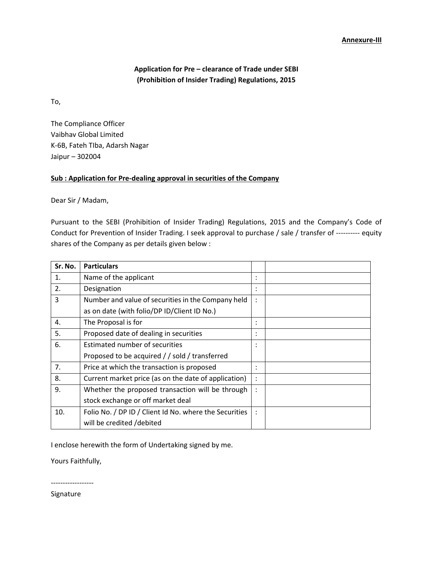#### **Annexure‐III**

# **Application for Pre – clearance of Trade under SEBI (Prohibition of Insider Trading) Regulations, 2015**

To,

The Compliance Officer Vaibhav Global Limited K‐6B, Fateh TIba, Adarsh Nagar Jaipur – 302004

#### **Sub : Application for Pre‐dealing approval in securities of the Company**

Dear Sir / Madam,

Pursuant to the SEBI (Prohibition of Insider Trading) Regulations, 2015 and the Company's Code of Conduct for Prevention of Insider Trading. I seek approval to purchase / sale / transfer of ---------- equity shares of the Company as per details given below :

| Sr. No.        | <b>Particulars</b>                                     |                      |  |
|----------------|--------------------------------------------------------|----------------------|--|
| $\mathbf{1}$ . | Name of the applicant                                  | ٠                    |  |
| 2.             | Designation                                            | $\cdot$              |  |
| 3              | Number and value of securities in the Company held     | $\ddot{\phantom{a}}$ |  |
|                | as on date (with folio/DP ID/Client ID No.)            |                      |  |
| 4.             | The Proposal is for                                    | ٠                    |  |
| 5.             | Proposed date of dealing in securities                 |                      |  |
| 6.             | <b>Estimated number of securities</b>                  |                      |  |
|                | Proposed to be acquired / / sold / transferred         |                      |  |
| 7.             | Price at which the transaction is proposed             | ٠                    |  |
| 8.             | Current market price (as on the date of application)   | $\ddot{\phantom{a}}$ |  |
| 9.             | Whether the proposed transaction will be through       | $\ddot{\phantom{a}}$ |  |
|                | stock exchange or off market deal                      |                      |  |
| 10.            | Folio No. / DP ID / Client Id No. where the Securities | $\ddot{\phantom{a}}$ |  |
|                | will be credited /debited                              |                      |  |

I enclose herewith the form of Undertaking signed by me.

Yours Faithfully,

‐‐‐‐‐‐‐‐‐‐‐‐‐‐‐‐‐‐

Signature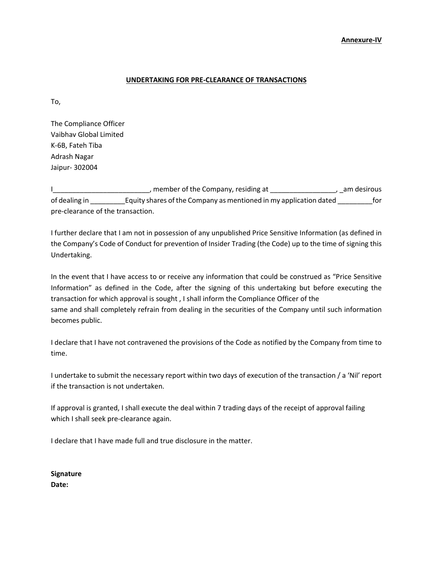#### **Annexure‐IV**

#### **UNDERTAKING FOR PRE‐CLEARANCE OF TRANSACTIONS**

To,

The Compliance Officer Vaibhav Global Limited K‐6B, Fateh Tiba Adrash Nagar Jaipur‐ 302004

I\_\_\_\_\_\_\_\_\_\_\_\_\_\_\_\_\_\_\_\_\_\_\_\_, member of the Company, residing at \_\_\_\_\_\_\_\_\_\_\_\_\_\_\_\_\_\_, \_am desirous of dealing in \_\_\_\_\_\_\_\_\_Equity shares of the Company as mentioned in my application dated \_\_\_\_\_\_\_\_\_for pre‐clearance of the transaction.

I further declare that I am not in possession of any unpublished Price Sensitive Information (as defined in the Company's Code of Conduct for prevention of Insider Trading (the Code) up to the time of signing this Undertaking.

In the event that I have access to or receive any information that could be construed as "Price Sensitive Information" as defined in the Code, after the signing of this undertaking but before executing the transaction for which approval is sought , I shall inform the Compliance Officer of the same and shall completely refrain from dealing in the securities of the Company until such information becomes public.

I declare that I have not contravened the provisions of the Code as notified by the Company from time to time.

I undertake to submit the necessary report within two days of execution of the transaction / a 'Nil' report if the transaction is not undertaken.

If approval is granted, I shall execute the deal within 7 trading days of the receipt of approval failing which I shall seek pre-clearance again.

I declare that I have made full and true disclosure in the matter.

**Signature Date:**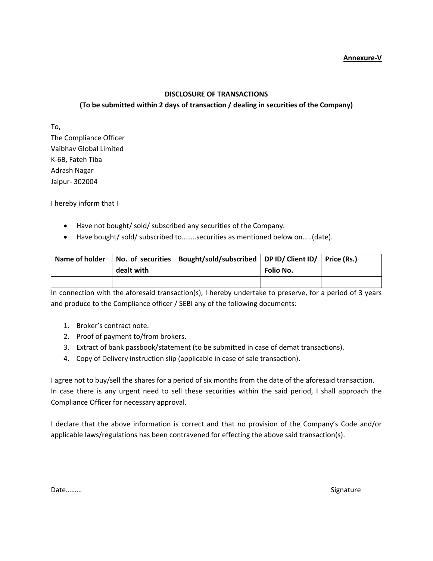# **DISCLOSURE OF TRANSACTIONS (To be submitted within 2 days of transaction / dealing in securities of the Company)**

To, The Compliance Officer Vaibhav Global Limited K‐6B, Fateh Tiba Adrash Nagar Jaipur‐ 302004

I hereby inform that I

- Have not bought/ sold/ subscribed any securities of the Company.
- Have bought/ sold/ subscribed to……..securities as mentioned below on…..(date).

| Name of holder | dealt with | No. of securities   Bought/sold/subscribed   DP ID/ Client ID/   Price (Rs.) | Folio No. |  |
|----------------|------------|------------------------------------------------------------------------------|-----------|--|
|                |            |                                                                              |           |  |

In connection with the aforesaid transaction(s), I hereby undertake to preserve, for a period of 3 years and produce to the Compliance officer / SEBI any of the following documents:

- 1. Broker's contract note.
- 2. Proof of payment to/from brokers.
- 3. Extract of bank passbook/statement (to be submitted in case of demat transactions).
- 4. Copy of Delivery instruction slip (applicable in case of sale transaction).

I agree not to buy/sell the shares for a period of six months from the date of the aforesaid transaction. In case there is any urgent need to sell these securities within the said period, I shall approach the Compliance Officer for necessary approval.

I declare that the above information is correct and that no provision of the Company's Code and/or applicable laws/regulations has been contravened for effecting the above said transaction(s).

Date……… Signature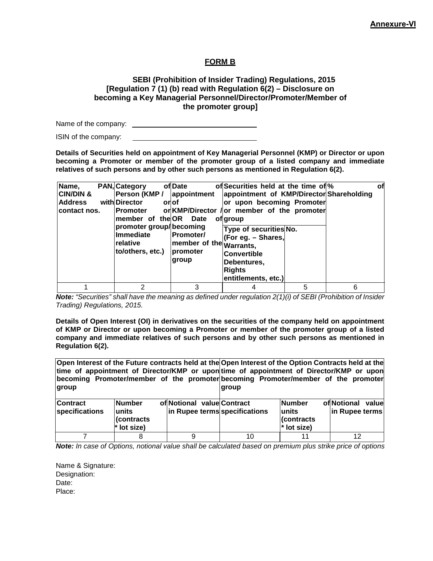## **FORM B**

### **SEBI (Prohibition of Insider Trading) Regulations, 2015 [Regulation 7 (1) (b) read with Regulation 6(2) – Disclosure on becoming a Key Managerial Personnel/Director/Promoter/Member of the promoter group]**

Name of the company:

ISIN of the company:

**Details of Securities held on appointment of Key Managerial Personnel (KMP) or Director or upon becoming a Promoter or member of the promoter group of a listed company and immediate relatives of such persons and by other such persons as mentioned in Regulation 6(2).**

| Name,<br><b>CIN/DIN &amp;</b><br><b>Address</b><br>contact nos. | PAN, Category<br>Person (KMP / appointment<br>with Director<br><b>IPromoter</b><br>lmember of thelOR Date<br>promoter group/becoming<br><b>Immediate</b><br>relative<br>to/others, etc.) | of Date<br>orlof<br><b>Promoter/</b><br>Imember of the warrants,<br>promoter<br>group | of Securities held at the time of %<br>appointment of KMP/Director Shareholding<br>or upon becoming Promoter<br>or KMP/Director / or member of the promoter<br>of group<br>Type of securities No.<br>(For eg. - Shares,<br><b>Convertible</b><br>Debentures,<br><b>Rights</b><br>entitlements, etc.) |   |   | οfι |
|-----------------------------------------------------------------|------------------------------------------------------------------------------------------------------------------------------------------------------------------------------------------|---------------------------------------------------------------------------------------|------------------------------------------------------------------------------------------------------------------------------------------------------------------------------------------------------------------------------------------------------------------------------------------------------|---|---|-----|
|                                                                 | 2                                                                                                                                                                                        | 3                                                                                     |                                                                                                                                                                                                                                                                                                      | 5 | 6 |     |

*Note: "Securities" shall have the meaning as defined under regulation 2(1)(i) of SEBI (Prohibition of Insider Trading) Regulations, 2015.*

**Details of Open Interest (OI) in derivatives on the securities of the company held on appointment of KMP or Director or upon becoming a Promoter or member of the promoter group of a listed company and immediate relatives of such persons and by other such persons as mentioned in Regulation 6(2).**

Open Interest of the Future contracts held at the Open Interest of the Option Contracts held at the time of appointment of Director/KMP or upon|time of appointment of Director/KMP or upon| **becoming Promoter/member of the promoter|becoming Promoter/member of the promoter| group group Contract specifications Number units (contracts \* lot size) Notional value Contract in Rupee terms specifications Number units (contracts \* lot size) of Notional** value **in Rupee terms** 7 | 8 | 9 | 10 | 11 | 12

*Note: In case of Options, notional value shall be calculated based on premium plus strike price of options*

Name & Signature: Designation: Date: Place: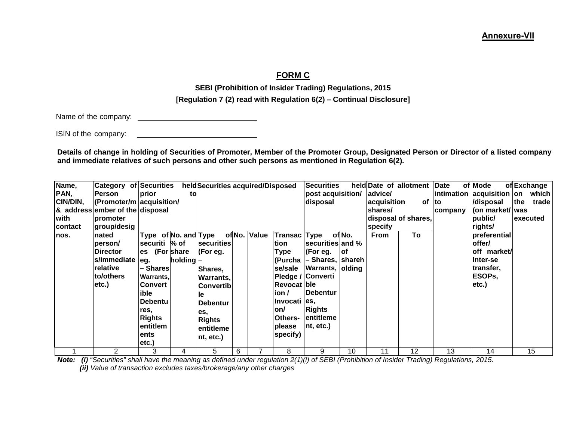# **FORM C**

**SEBI (Prohibition of Insider Trading) Regulations, 2015** 

**[Regulation 7 (2) read with Regulation 6(2) – Continual Disclosure]**

Name of the company:

ISIN of the company:

**Details of change in holding of Securities of Promoter, Member of the Promoter Group, Designated Person or Director of a listed company and immediate relatives of such persons and other such persons as mentioned in Regulation 6(2).**

| Name,    | <b>Category of Securities</b>    |                      |         | held Securities acquired/Disposed |   |              |                | <b>Securities</b>            |        |             | held Date of allotment Date |         | of Mode                         | of Exchange |
|----------|----------------------------------|----------------------|---------|-----------------------------------|---|--------------|----------------|------------------------------|--------|-------------|-----------------------------|---------|---------------------------------|-------------|
| PAN,     | <b>Person</b>                    | <b>prior</b>         | to      |                                   |   |              |                | post acquisition/ advice/    |        |             |                             |         | intimation acquisition on which |             |
| CIN/DIN, | $ $ (Promoter/m $ ac$ quisition/ |                      |         |                                   |   |              |                | disposal                     |        | acquisition | 0f                          | ∣to     | /disposal                       | the trade   |
|          | & address ember of the disposal  |                      |         |                                   |   |              |                |                              |        | lshares/    |                             | company | (on market/ was                 |             |
| with     | promoter                         |                      |         |                                   |   |              |                |                              |        |             | disposal of shares,         |         | public/                         | executed    |
| contact  | group/desig                      |                      |         |                                   |   |              |                |                              |        | specify     |                             |         | rights/                         |             |
| nos.     | Inated                           | Type of No. and Type |         |                                   |   | of No. Value | Transac Type   |                              | of No. | From        | To                          |         | preferential                    |             |
|          | person/                          | lsecuriti  % of      |         | securities                        |   |              | tion           | securities and %             |        |             |                             |         | offer/                          |             |
|          | <b>Director</b>                  | es (For share        |         | $ $ (For eg.                      |   |              | Type           | (For eg.                     | lof    |             |                             |         | off market/                     |             |
|          | s/immediate                      | leg.                 | holding |                                   |   |              |                | (Purcha   – Shares,   shareh |        |             |                             |         | Inter-se                        |             |
|          | Irelative                        | - Shares             |         | Shares,                           |   |              |                | se/sale   Warrants,   olding |        |             |                             |         | transfer,                       |             |
|          | lto/others                       | Warrants.            |         | Warrants,                         |   |              |                | Pledge / Converti            |        |             |                             |         | ESOPs,                          |             |
|          | etc.                             | lConvert             |         | <b>Convertib</b>                  |   |              | Revocat ble    |                              |        |             |                             |         | etc.)                           |             |
|          |                                  | ible                 |         | le.                               |   |              | ion /          | ∣Debentur                    |        |             |                             |         |                                 |             |
|          |                                  | Debentu              |         | <b>Debentur</b>                   |   |              | Invocati es,   |                              |        |             |                             |         |                                 |             |
|          |                                  | res,                 |         | es,                               |   |              | lon/           | Rights                       |        |             |                             |         |                                 |             |
|          |                                  | <b>Rights</b>        |         | <b>Rights</b>                     |   |              | <b>Others-</b> | entitleme                    |        |             |                             |         |                                 |             |
|          |                                  | lentitlem            |         | entitleme                         |   |              | please         | $\vert$ nt, etc.)            |        |             |                             |         |                                 |             |
|          |                                  | lents                |         | nt, etc.)                         |   |              | specify)       |                              |        |             |                             |         |                                 |             |
|          |                                  | etc.                 |         |                                   |   |              |                |                              |        |             |                             |         |                                 |             |
|          | 2                                | 3                    | 4       | 5                                 | 6 |              | 8              | 9                            | 10     | 11          | 12                          | 13      | 14                              | 15          |

*Note: (i) "Securities" shall have the meaning as defined under regulation 2(1)(i) of SEBI (Prohibition of Insider Trading) Regulations, 2015.*

*(ii) Value of transaction excludes taxes/brokerage/any other charges*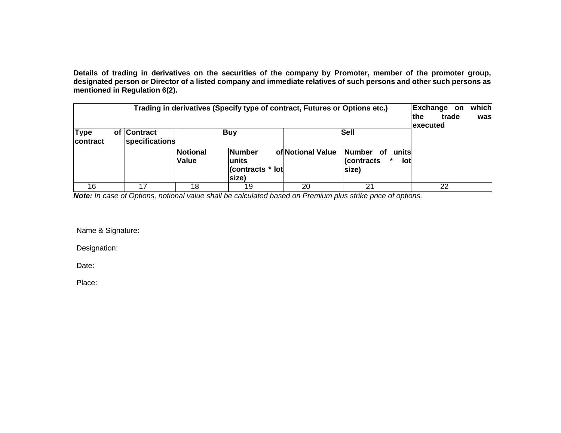**Details of trading in derivatives on the securities of the company by Promoter, member of the promoter group, designated person or Director of a listed company and immediate relatives of such persons and other such persons as mentioned in Regulation 6(2).**

|                         | <b>Exchange on</b><br>trade<br>the<br><b>lexecuted</b>     | which<br>was                    |                                               |                   |                                                            |    |  |  |  |  |
|-------------------------|------------------------------------------------------------|---------------------------------|-----------------------------------------------|-------------------|------------------------------------------------------------|----|--|--|--|--|
| <b>Type</b><br>contract | of Contract<br><b>Sell</b><br><b>Buy</b><br>specifications |                                 |                                               |                   |                                                            |    |  |  |  |  |
|                         |                                                            | <b>Notional</b><br><b>Value</b> | Number<br>lunits<br>(contracts * lot<br>size) | of Notional Value | <b>Number</b><br>units<br>of<br>(contracts<br>lot<br>size) |    |  |  |  |  |
| 16                      | 17                                                         | 18                              | 19                                            | 20                | 21                                                         | 22 |  |  |  |  |

*Note: In case of Options, notional value shall be calculated based on Premium plus strike price of options.*

Name & Signature:

Designation:

Date:

Place: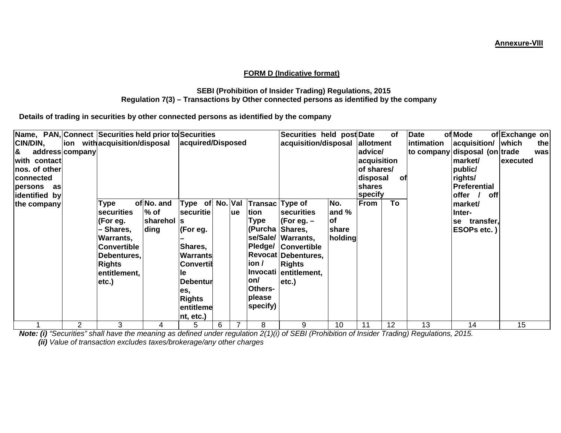#### **Annexure-VIII**

## **FORM D (Indicative format)**

#### **SEBI (Prohibition of Insider Trading) Regulations, 2015 Regulation 7(3) – Transactions by Other connected persons as identified by the company**

**Details of trading in securities by other connected persons as identified by the company**

| Name, PAN, Connect Securities held prior to Securities |                 |                              |            |                   |   |     |                 | Securities held post Date      |         |             | of | <b>Date</b> | of Mode                        | of Exchange on   |     |
|--------------------------------------------------------|-----------------|------------------------------|------------|-------------------|---|-----|-----------------|--------------------------------|---------|-------------|----|-------------|--------------------------------|------------------|-----|
| <b>CIN/DIN,</b>                                        |                 | ion withacquisition/disposal |            | acquired/Disposed |   |     |                 | acquisition/disposal allotment |         |             |    | intimation  | acquisition/ which             |                  | the |
| $\boldsymbol{\alpha}$                                  | address company |                              |            |                   |   |     |                 |                                |         | advice/     |    |             | ∣to company∣disposal (on∣trade |                  | was |
| with contact                                           |                 |                              |            |                   |   |     |                 |                                |         | acquisition |    |             | market/                        | <b>lexecuted</b> |     |
| nos. of other                                          |                 |                              |            |                   |   |     |                 |                                |         | of shares/  |    |             | public/                        |                  |     |
| connected                                              |                 |                              |            |                   |   |     |                 |                                |         | disposal    | οf |             | rights/                        |                  |     |
| persons as                                             |                 |                              |            |                   |   |     |                 |                                |         | shares      |    |             | <b>Preferential</b>            |                  |     |
| identified by                                          |                 |                              |            |                   |   |     |                 |                                |         | specify     |    |             | offer /<br>off                 |                  |     |
| the company                                            |                 | Type                         | of No. and | Type of No. Val   |   |     | Transac Type of |                                | No.     | From        | To |             | market/                        |                  |     |
|                                                        |                 | securities                   | $\%$ of    | securitie         |   | lue | ∣tion           | securities                     | and %   |             |    |             | Inter-                         |                  |     |
|                                                        |                 | ∣(For eg.                    | sharehol s |                   |   |     | <b>Type</b>     | $ $ (For eg. $-$               | lof     |             |    |             | se transfer,                   |                  |     |
|                                                        |                 | – Shares,                    | ding       | KFor eg.          |   |     | (Purcha Shares, |                                | share   |             |    |             | ESOPs etc.)                    |                  |     |
|                                                        |                 | <b>Warrants,</b>             |            |                   |   |     |                 | se/Sale/ Warrants,             | holding |             |    |             |                                |                  |     |
|                                                        |                 | <b>Convertible</b>           |            | Shares,           |   |     |                 | Pledge/ Convertible            |         |             |    |             |                                |                  |     |
|                                                        |                 | Debentures,                  |            | <b>Warrants</b>   |   |     |                 | <b>Revocat Debentures.</b>     |         |             |    |             |                                |                  |     |
|                                                        |                 | <b>Rights</b>                |            | <b>Convertit</b>  |   |     | ion /           | <b>Rights</b>                  |         |             |    |             |                                |                  |     |
|                                                        |                 | entitlement,                 |            | le.               |   |     |                 | Invocati entitlement,          |         |             |    |             |                                |                  |     |
|                                                        |                 | etc.)                        |            | Debentur          |   |     | on/             | etc.)                          |         |             |    |             |                                |                  |     |
|                                                        |                 |                              |            | es,               |   |     | Others-         |                                |         |             |    |             |                                |                  |     |
|                                                        |                 |                              |            | <b>Rights</b>     |   |     | please          |                                |         |             |    |             |                                |                  |     |
|                                                        |                 |                              |            | entitleme         |   |     | specify)        |                                |         |             |    |             |                                |                  |     |
|                                                        |                 |                              |            | $\vert$ nt, etc.) |   |     |                 |                                |         |             |    |             |                                |                  |     |
|                                                        | 2               | 3                            | 4          | 5                 | 6 |     | 8               | 9                              | 10      | 11          | 12 | 13          | 14                             | 15               |     |

*Note: (i) "Securities" shall have the meaning as defined under regulation 2(1)(i) of SEBI (Prohibition of Insider Trading) Regulations, 2015. (ii) Value of transaction excludes taxes/brokerage/any other charges*